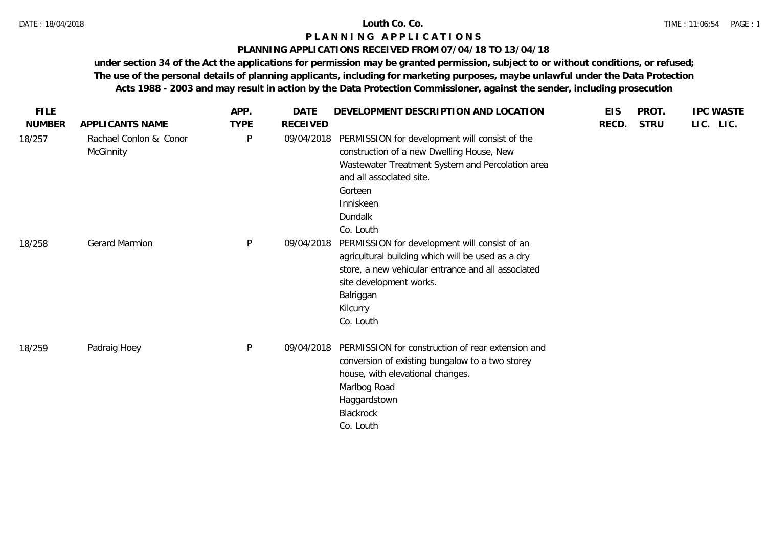## **PLANNING APPLICATIONS RECEIVED FROM 07/04/18 TO 13/04/18**

| <b>FILE</b><br><b>NUMBER</b> | APPLICANTS NAME                     | APP.<br><b>TYPE</b> | <b>DATE</b><br><b>RECEIVED</b> | DEVELOPMENT DESCRIPTION AND LOCATION                                                                                                                                                                                        | <b>EIS</b><br>RECD. | PROT.<br><b>STRU</b> | <b>IPC WASTE</b><br>LIC. LIC. |
|------------------------------|-------------------------------------|---------------------|--------------------------------|-----------------------------------------------------------------------------------------------------------------------------------------------------------------------------------------------------------------------------|---------------------|----------------------|-------------------------------|
| 18/257                       | Rachael Conlon & Conor<br>McGinnity | P                   | 09/04/2018                     | PERMISSION for development will consist of the<br>construction of a new Dwelling House, New<br>Wastewater Treatment System and Percolation area<br>and all associated site.<br>Gorteen<br>Inniskeen<br>Dundalk<br>Co. Louth |                     |                      |                               |
| 18/258                       | <b>Gerard Marmion</b>               | $\mathsf{P}$        | 09/04/2018                     | PERMISSION for development will consist of an<br>agricultural building which will be used as a dry<br>store, a new vehicular entrance and all associated<br>site development works.<br>Balriggan<br>Kilcurry<br>Co. Louth   |                     |                      |                               |
| 18/259                       | Padraig Hoey                        | $\mathsf{P}$        | 09/04/2018                     | PERMISSION for construction of rear extension and<br>conversion of existing bungalow to a two storey<br>house, with elevational changes.<br>Marlbog Road<br>Haggardstown<br>Blackrock<br>Co. Louth                          |                     |                      |                               |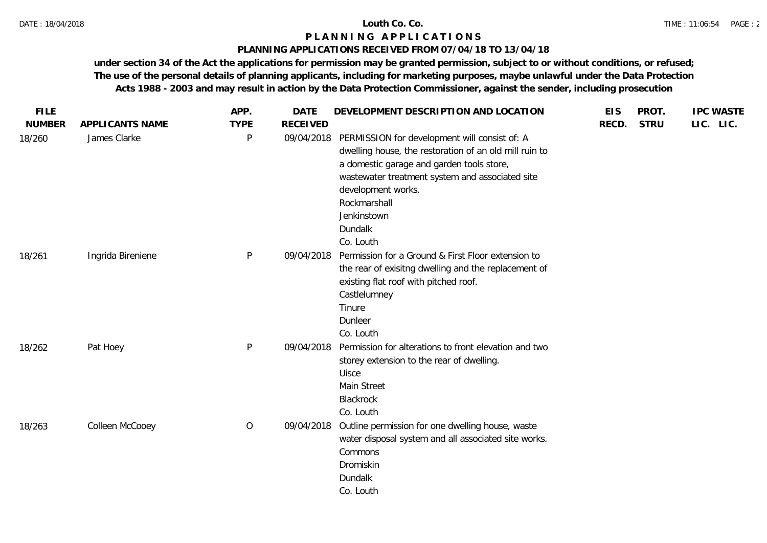## **PLANNING APPLICATIONS RECEIVED FROM 07/04/18 TO 13/04/18**

| <b>FILE</b>   |                   | APP.        | <b>DATE</b>     | DEVELOPMENT DESCRIPTION AND LOCATION                                                                                                                                                                                                                                                 | <b>EIS</b> | PROT.       | <b>IPC WASTE</b> |
|---------------|-------------------|-------------|-----------------|--------------------------------------------------------------------------------------------------------------------------------------------------------------------------------------------------------------------------------------------------------------------------------------|------------|-------------|------------------|
| <b>NUMBER</b> | APPLICANTS NAME   | <b>TYPE</b> | <b>RECEIVED</b> |                                                                                                                                                                                                                                                                                      | RECD.      | <b>STRU</b> | LIC. LIC.        |
| 18/260        | James Clarke      | P           | 09/04/2018      | PERMISSION for development will consist of: A<br>dwelling house, the restoration of an old mill ruin to<br>a domestic garage and garden tools store,<br>wastewater treatment system and associated site<br>development works.<br>Rockmarshall<br>Jenkinstown<br>Dundalk<br>Co. Louth |            |             |                  |
| 18/261        | Ingrida Bireniene | P           | 09/04/2018      | Permission for a Ground & First Floor extension to<br>the rear of exisitng dwelling and the replacement of<br>existing flat roof with pitched roof.<br>Castlelumney<br>Tinure<br>Dunleer<br>Co. Louth                                                                                |            |             |                  |
| 18/262        | Pat Hoey          | P           | 09/04/2018      | Permission for alterations to front elevation and two<br>storey extension to the rear of dwelling.<br>Uisce<br>Main Street<br>Blackrock<br>Co. Louth                                                                                                                                 |            |             |                  |
| 18/263        | Colleen McCooey   | $\circ$     | 09/04/2018      | Outline permission for one dwelling house, waste<br>water disposal system and all associated site works.<br>Commons<br>Dromiskin<br>Dundalk<br>Co. Louth                                                                                                                             |            |             |                  |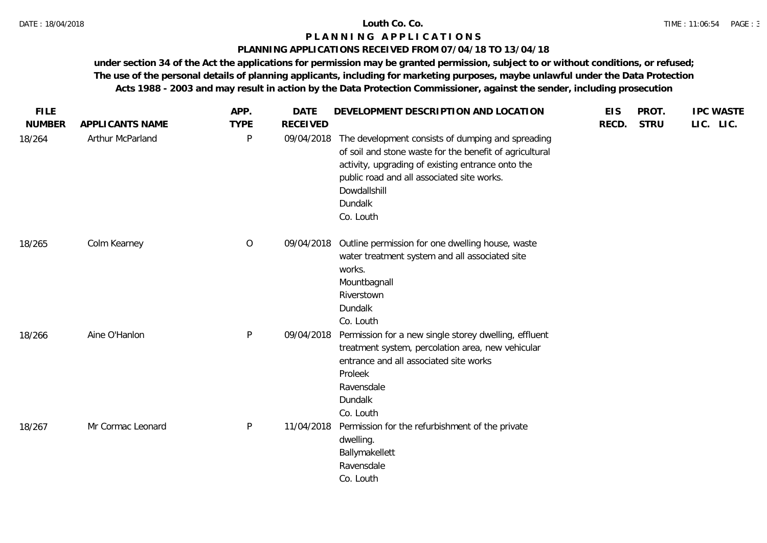# **PLANNING APPLICATIONS RECEIVED FROM 07/04/18 TO 13/04/18**

| <b>FILE</b>   |                   | APP.         | <b>DATE</b>     | DEVELOPMENT DESCRIPTION AND LOCATION                                                                                                                                                                                                                    | <b>EIS</b> | PROT.       | <b>IPC WASTE</b> |  |
|---------------|-------------------|--------------|-----------------|---------------------------------------------------------------------------------------------------------------------------------------------------------------------------------------------------------------------------------------------------------|------------|-------------|------------------|--|
| <b>NUMBER</b> | APPLICANTS NAME   | <b>TYPE</b>  | <b>RECEIVED</b> |                                                                                                                                                                                                                                                         | RECD.      | <b>STRU</b> | LIC. LIC.        |  |
| 18/264        | Arthur McParland  | $\mathsf{P}$ | 09/04/2018      | The development consists of dumping and spreading<br>of soil and stone waste for the benefit of agricultural<br>activity, upgrading of existing entrance onto the<br>public road and all associated site works.<br>Dowdallshill<br>Dundalk<br>Co. Louth |            |             |                  |  |
| 18/265        | Colm Kearney      | $\circ$      | 09/04/2018      | Outline permission for one dwelling house, waste<br>water treatment system and all associated site<br>works.<br>Mountbagnall<br>Riverstown<br>Dundalk<br>Co. Louth                                                                                      |            |             |                  |  |
| 18/266        | Aine O'Hanlon     | $\mathsf{P}$ | 09/04/2018      | Permission for a new single storey dwelling, effluent<br>treatment system, percolation area, new vehicular<br>entrance and all associated site works<br>Proleek<br>Ravensdale<br>Dundalk<br>Co. Louth                                                   |            |             |                  |  |
| 18/267        | Mr Cormac Leonard | $\sf P$      | 11/04/2018      | Permission for the refurbishment of the private<br>dwelling.<br>Ballymakellett<br>Ravensdale<br>Co. Louth                                                                                                                                               |            |             |                  |  |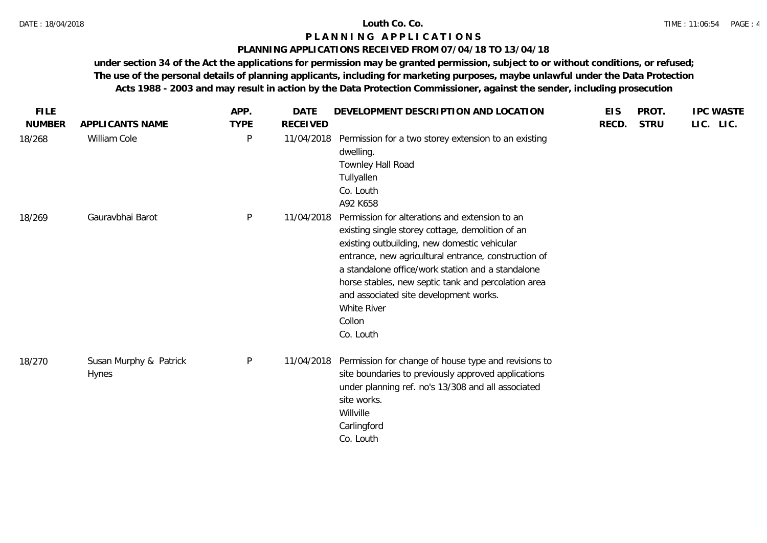## **PLANNING APPLICATIONS RECEIVED FROM 07/04/18 TO 13/04/18**

| <b>FILE</b>   |                                        | APP.         | <b>DATE</b>     | DEVELOPMENT DESCRIPTION AND LOCATION                                                                                                                                                                                                                                                                                                                                                                   | <b>EIS</b> | PROT.       | <b>IPC WASTE</b> |
|---------------|----------------------------------------|--------------|-----------------|--------------------------------------------------------------------------------------------------------------------------------------------------------------------------------------------------------------------------------------------------------------------------------------------------------------------------------------------------------------------------------------------------------|------------|-------------|------------------|
| <b>NUMBER</b> | APPLICANTS NAME                        | <b>TYPE</b>  | <b>RECEIVED</b> |                                                                                                                                                                                                                                                                                                                                                                                                        | RECD.      | <b>STRU</b> | LIC. LIC.        |
| 18/268        | William Cole                           | $\mathsf{P}$ | 11/04/2018      | Permission for a two storey extension to an existing<br>dwelling.<br>Townley Hall Road<br>Tullyallen<br>Co. Louth<br>A92 K658                                                                                                                                                                                                                                                                          |            |             |                  |
| 18/269        | Gauravbhai Barot                       | P            | 11/04/2018      | Permission for alterations and extension to an<br>existing single storey cottage, demolition of an<br>existing outbuilding, new domestic vehicular<br>entrance, new agricultural entrance, construction of<br>a standalone office/work station and a standalone<br>horse stables, new septic tank and percolation area<br>and associated site development works.<br>White River<br>Collon<br>Co. Louth |            |             |                  |
| 18/270        | Susan Murphy & Patrick<br><b>Hynes</b> | P            | 11/04/2018      | Permission for change of house type and revisions to<br>site boundaries to previously approved applications<br>under planning ref. no's 13/308 and all associated<br>site works.<br>Willville<br>Carlingford<br>Co. Louth                                                                                                                                                                              |            |             |                  |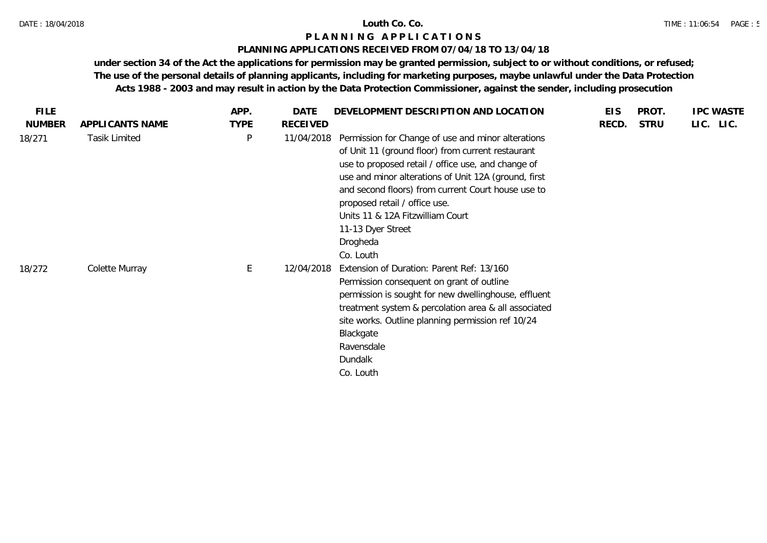## **PLANNING APPLICATIONS RECEIVED FROM 07/04/18 TO 13/04/18**

| FILE.         |                      | APP.        | DATE            | DEVELOPMENT DESCRIPTION AND LOCATION                                                                                                                                                                                                                                                                                                                                                           | <b>EIS</b> | PROT.       | <b>IPC WASTE</b> |
|---------------|----------------------|-------------|-----------------|------------------------------------------------------------------------------------------------------------------------------------------------------------------------------------------------------------------------------------------------------------------------------------------------------------------------------------------------------------------------------------------------|------------|-------------|------------------|
| <b>NUMBER</b> | APPLICANTS NAME      | <b>TYPE</b> | <b>RECEIVED</b> |                                                                                                                                                                                                                                                                                                                                                                                                | RECD.      | <b>STRU</b> | LIC. LIC.        |
| 18/271        | <b>Tasik Limited</b> | P           | 11/04/2018      | Permission for Change of use and minor alterations<br>of Unit 11 (ground floor) from current restaurant<br>use to proposed retail / office use, and change of<br>use and minor alterations of Unit 12A (ground, first<br>and second floors) from current Court house use to<br>proposed retail / office use.<br>Units 11 & 12A Fitzwilliam Court<br>11-13 Dyer Street<br>Drogheda<br>Co. Louth |            |             |                  |
| 18/272        | Colette Murray       | E           | 12/04/2018      | Extension of Duration: Parent Ref: 13/160<br>Permission consequent on grant of outline<br>permission is sought for new dwellinghouse, effluent<br>treatment system & percolation area & all associated<br>site works. Outline planning permission ref 10/24<br>Blackgate<br>Ravensdale<br>Dundalk<br>Co. Louth                                                                                 |            |             |                  |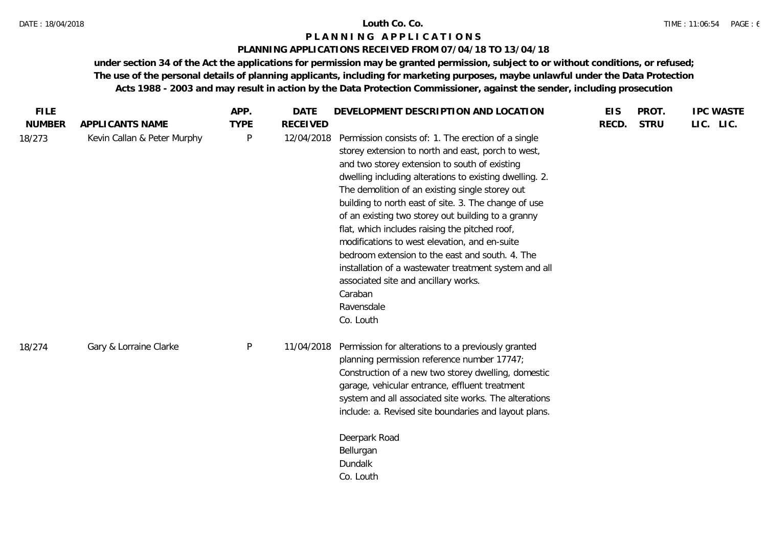# **PLANNING APPLICATIONS RECEIVED FROM 07/04/18 TO 13/04/18**

| <b>FILE</b>   |                             | APP.         | DATE            | DEVELOPMENT DESCRIPTION AND LOCATION                                                                                                                                                                                                                                                                                                                                                                                                                                                                                                                                                                                                                                                | <b>EIS</b> | PROT.       | <b>IPC WASTE</b> |
|---------------|-----------------------------|--------------|-----------------|-------------------------------------------------------------------------------------------------------------------------------------------------------------------------------------------------------------------------------------------------------------------------------------------------------------------------------------------------------------------------------------------------------------------------------------------------------------------------------------------------------------------------------------------------------------------------------------------------------------------------------------------------------------------------------------|------------|-------------|------------------|
| <b>NUMBER</b> | APPLICANTS NAME             | <b>TYPE</b>  | <b>RECEIVED</b> |                                                                                                                                                                                                                                                                                                                                                                                                                                                                                                                                                                                                                                                                                     | RECD.      | <b>STRU</b> | LIC. LIC.        |
| 18/273        | Kevin Callan & Peter Murphy | $\mathsf{P}$ | 12/04/2018      | Permission consists of: 1. The erection of a single<br>storey extension to north and east, porch to west,<br>and two storey extension to south of existing<br>dwelling including alterations to existing dwelling. 2.<br>The demolition of an existing single storey out<br>building to north east of site. 3. The change of use<br>of an existing two storey out building to a granny<br>flat, which includes raising the pitched roof,<br>modifications to west elevation, and en-suite<br>bedroom extension to the east and south. 4. The<br>installation of a wastewater treatment system and all<br>associated site and ancillary works.<br>Caraban<br>Ravensdale<br>Co. Louth |            |             |                  |
| 18/274        | Gary & Lorraine Clarke      | $\mathsf{P}$ | 11/04/2018      | Permission for alterations to a previously granted<br>planning permission reference number 17747;<br>Construction of a new two storey dwelling, domestic<br>garage, vehicular entrance, effluent treatment<br>system and all associated site works. The alterations<br>include: a. Revised site boundaries and layout plans.<br>Deerpark Road<br>Bellurgan<br>Dundalk<br>Co. Louth                                                                                                                                                                                                                                                                                                  |            |             |                  |